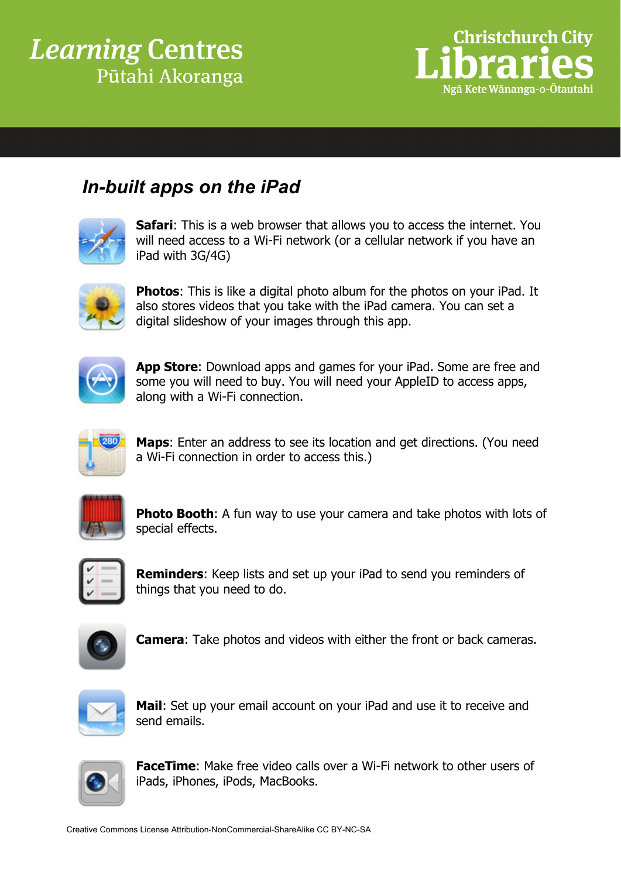## **Learning Centres** Pūtahi Akoranga



## *In-built apps on the iPad*



**Safari:** This is a web browser that allows you to access the internet. You will need access to a Wi-Fi network (or a cellular network if you have an iPad with 3G/4G)



**Photos**: This is like a digital photo album for the photos on your iPad. It also stores videos that you take with the iPad camera. You can set a digital slideshow of your images through this app.



**App Store**: Download apps and games for your iPad. Some are free and some you will need to buy. You will need your AppleID to access apps, along with a Wi-Fi connection.



**Maps**: Enter an address to see its location and get directions. (You need a Wi-Fi connection in order to access this.)



**Photo Booth:** A fun way to use your camera and take photos with lots of special effects.



**Reminders**: Keep lists and set up your iPad to send you reminders of things that you need to do.



**Camera**: Take photos and videos with either the front or back cameras.



**Mail**: Set up your email account on your iPad and use it to receive and send emails.



**FaceTime**: Make free video calls over a Wi-Fi network to other users of iPads, iPhones, iPods, MacBooks.